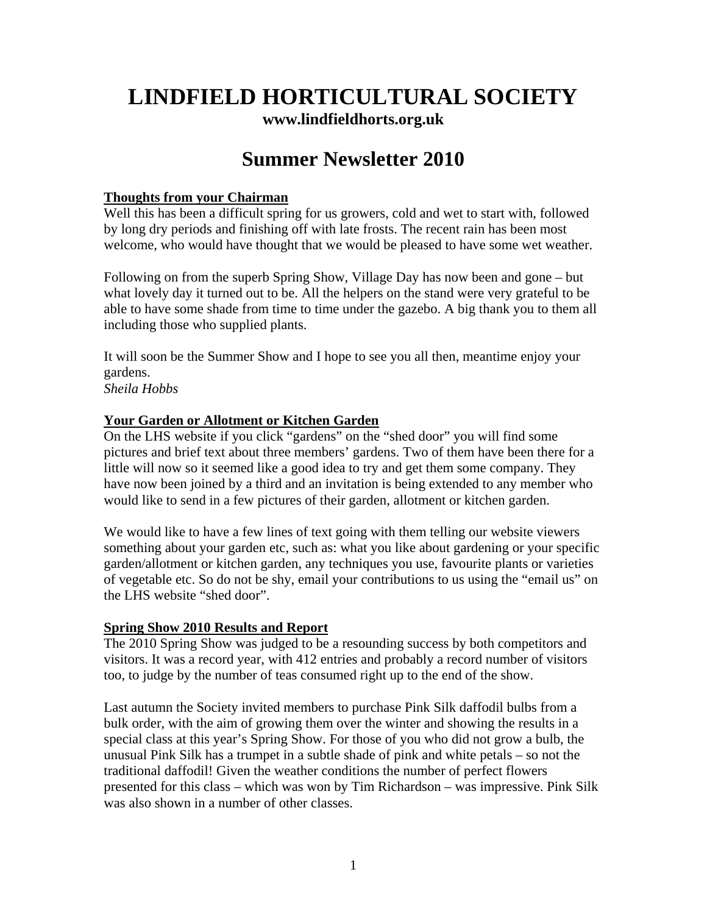# **LINDFIELD HORTICULTURAL SOCIETY [www.lindfieldhorts.org.uk](http://www.lindfieldhorts.org.uk/)**

# **Summer Newsletter 2010**

#### **Thoughts from your Chairman**

Well this has been a difficult spring for us growers, cold and wet to start with, followed by long dry periods and finishing off with late frosts. The recent rain has been most welcome, who would have thought that we would be pleased to have some wet weather.

Following on from the superb Spring Show, Village Day has now been and gone – but what lovely day it turned out to be. All the helpers on the stand were very grateful to be able to have some shade from time to time under the gazebo. A big thank you to them all including those who supplied plants.

It will soon be the Summer Show and I hope to see you all then, meantime enjoy your gardens.

*Sheila Hobbs*

#### **Your Garden or Allotment or Kitchen Garden**

On the LHS website if you click "gardens" on the "shed door" you will find some pictures and brief text about three members' gardens. Two of them have been there for a little will now so it seemed like a good idea to try and get them some company. They have now been joined by a third and an invitation is being extended to any member who would like to send in a few pictures of their garden, allotment or kitchen garden.

We would like to have a few lines of text going with them telling our website viewers something about your garden etc, such as: what you like about gardening or your specific garden/allotment or kitchen garden, any techniques you use, favourite plants or varieties of vegetable etc. So do not be shy, email your contributions to us using the "email us" on the LHS website "shed door".

### **Spring Show 2010 Results and Report**

The 2010 Spring Show was judged to be a resounding success by both competitors and visitors. It was a record year, with 412 entries and probably a record number of visitors too, to judge by the number of teas consumed right up to the end of the show.

Last autumn the Society invited members to purchase Pink Silk daffodil bulbs from a bulk order, with the aim of growing them over the winter and showing the results in a special class at this year's Spring Show. For those of you who did not grow a bulb, the unusual Pink Silk has a trumpet in a subtle shade of pink and white petals – so not the traditional daffodil! Given the weather conditions the number of perfect flowers presented for this class – which was won by Tim Richardson – was impressive. Pink Silk was also shown in a number of other classes.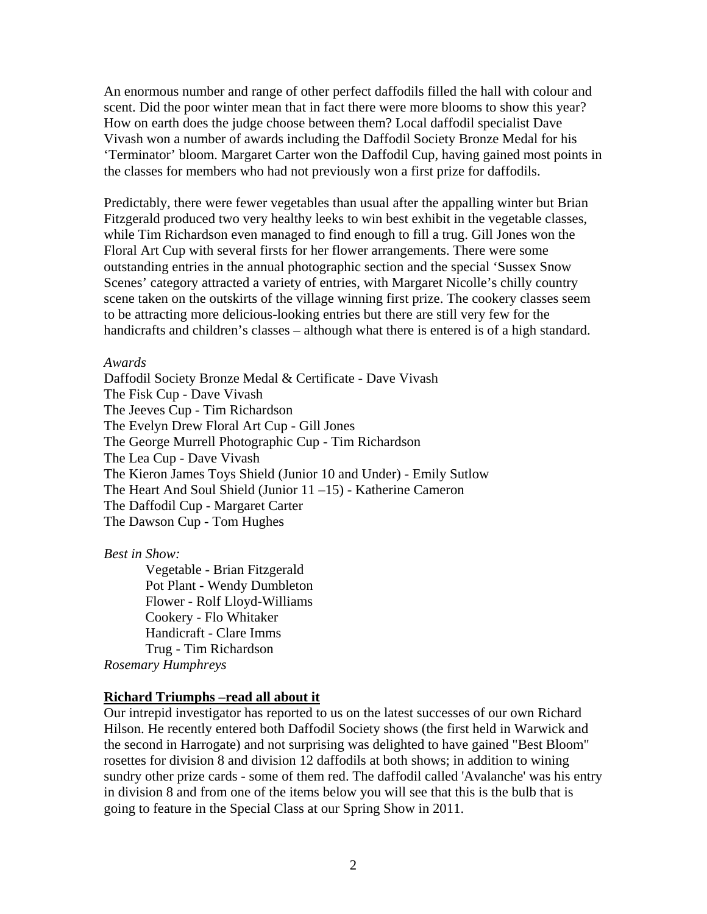An enormous number and range of other perfect daffodils filled the hall with colour and scent. Did the poor winter mean that in fact there were more blooms to show this year? How on earth does the judge choose between them? Local daffodil specialist Dave Vivash won a number of awards including the Daffodil Society Bronze Medal for his 'Terminator' bloom. Margaret Carter won the Daffodil Cup, having gained most points in the classes for members who had not previously won a first prize for daffodils.

Predictably, there were fewer vegetables than usual after the appalling winter but Brian Fitzgerald produced two very healthy leeks to win best exhibit in the vegetable classes, while Tim Richardson even managed to find enough to fill a trug. Gill Jones won the Floral Art Cup with several firsts for her flower arrangements. There were some outstanding entries in the annual photographic section and the special 'Sussex Snow Scenes' category attracted a variety of entries, with Margaret Nicolle's chilly country scene taken on the outskirts of the village winning first prize. The cookery classes seem to be attracting more delicious-looking entries but there are still very few for the handicrafts and children's classes – although what there is entered is of a high standard.

#### *Awards*

Daffodil Society Bronze Medal & Certificate - Dave Vivash The Fisk Cup - Dave Vivash The Jeeves Cup - Tim Richardson The Evelyn Drew Floral Art Cup - Gill Jones The George Murrell Photographic Cup - Tim Richardson The Lea Cup - Dave Vivash The Kieron James Toys Shield (Junior 10 and Under) - Emily Sutlow The Heart And Soul Shield (Junior 11 –15) - Katherine Cameron The Daffodil Cup - Margaret Carter The Dawson Cup - Tom Hughes

*Best in Show:* 

[Vegetable](http://www.lindfieldhorts.org.uk/Images/2010 Spring Show/leeks.jpg) - Brian Fitzgerald [Pot Plant](http://www.lindfieldhorts.org.uk/Images/2010 Spring Show/orchid.jpg) - Wendy Dumbleton [Flower](http://www.lindfieldhorts.org.uk/Images/2010 Spring Show/pieris.jpg) - Rolf Lloyd-Williams [Cookery](http://www.lindfieldhorts.org.uk/Images/2010 Spring Show/sponge-cake.jpg) - Flo Whitaker [Handicraft](http://www.lindfieldhorts.org.uk/Images/2010 Spring Show/handicraft.jpg) - Clare Imms Trug - Tim Richardson

*Rosemary Humphreys* 

#### **Richard Triumphs –read all about it**

Our intrepid investigator has reported to us on the latest successes of our own Richard Hilson. He recently entered both Daffodil Society shows (the first held in Warwick and the second in Harrogate) and not surprising was delighted to have gained "Best Bloom" rosettes for division 8 and division 12 daffodils at both shows; in addition to wining sundry other prize cards - some of them red. The daffodil called 'Avalanche' was his entry in division 8 and from one of the items below you will see that this is the bulb that is going to feature in the Special Class at our Spring Show in 2011.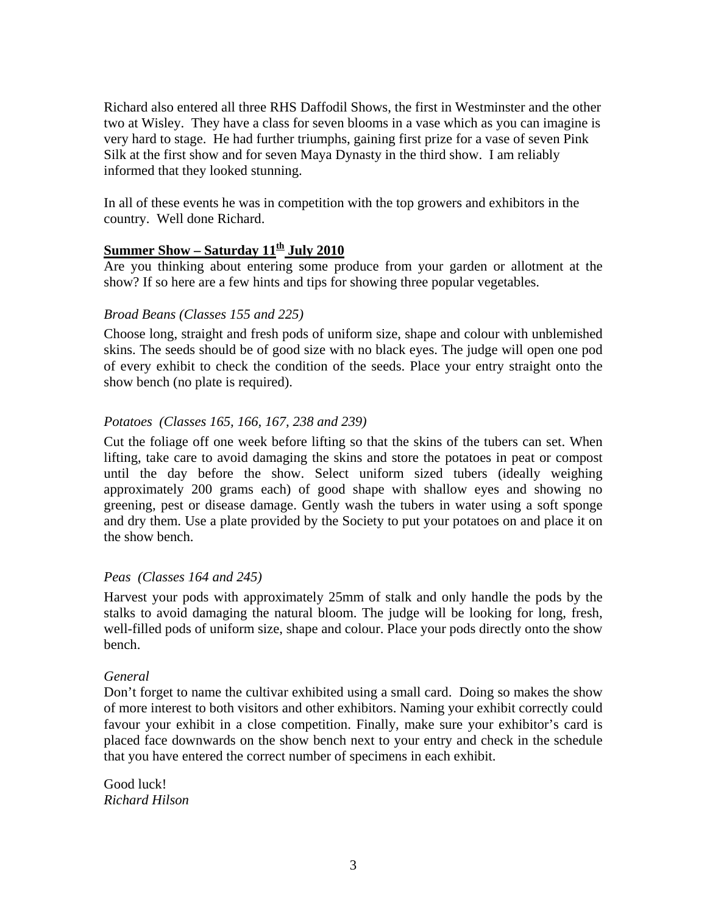Richard also entered all three RHS Daffodil Shows, the first in Westminster and the other two at Wisley. They have a class for seven blooms in a vase which as you can imagine is very hard to stage. He had further triumphs, gaining first prize for a vase of seven Pink Silk at the first show and for seven Maya Dynasty in the third show. I am reliably informed that they looked stunning.

In all of these events he was in competition with the top growers and exhibitors in the country. Well done Richard.

## **Summer Show – Saturday 11th July 2010**

Are you thinking about entering some produce from your garden or allotment at the show? If so here are a few hints and tips for showing three popular vegetables.

#### *Broad Beans (Classes 155 and 225)*

Choose long, straight and fresh pods of uniform size, shape and colour with unblemished skins. The seeds should be of good size with no black eyes. The judge will open one pod of every exhibit to check the condition of the seeds. Place your entry straight onto the show bench (no plate is required).

#### *Potatoes (Classes 165, 166, 167, 238 and 239)*

Cut the foliage off one week before lifting so that the skins of the tubers can set. When lifting, take care to avoid damaging the skins and store the potatoes in peat or compost until the day before the show. Select uniform sized tubers (ideally weighing approximately 200 grams each) of good shape with shallow eyes and showing no greening, pest or disease damage. Gently wash the tubers in water using a soft sponge and dry them. Use a plate provided by the Society to put your potatoes on and place it on the show bench.

### *Peas (Classes 164 and 245)*

Harvest your pods with approximately 25mm of stalk and only handle the pods by the stalks to avoid damaging the natural bloom. The judge will be looking for long, fresh, well-filled pods of uniform size, shape and colour. Place your pods directly onto the show bench.

#### *General*

Don't forget to name the cultivar exhibited using a small card. Doing so makes the show of more interest to both visitors and other exhibitors. Naming your exhibit correctly could favour your exhibit in a close competition. Finally, make sure your exhibitor's card is placed face downwards on the show bench next to your entry and check in the schedule that you have entered the correct number of specimens in each exhibit.

Good luck! *Richard Hilson*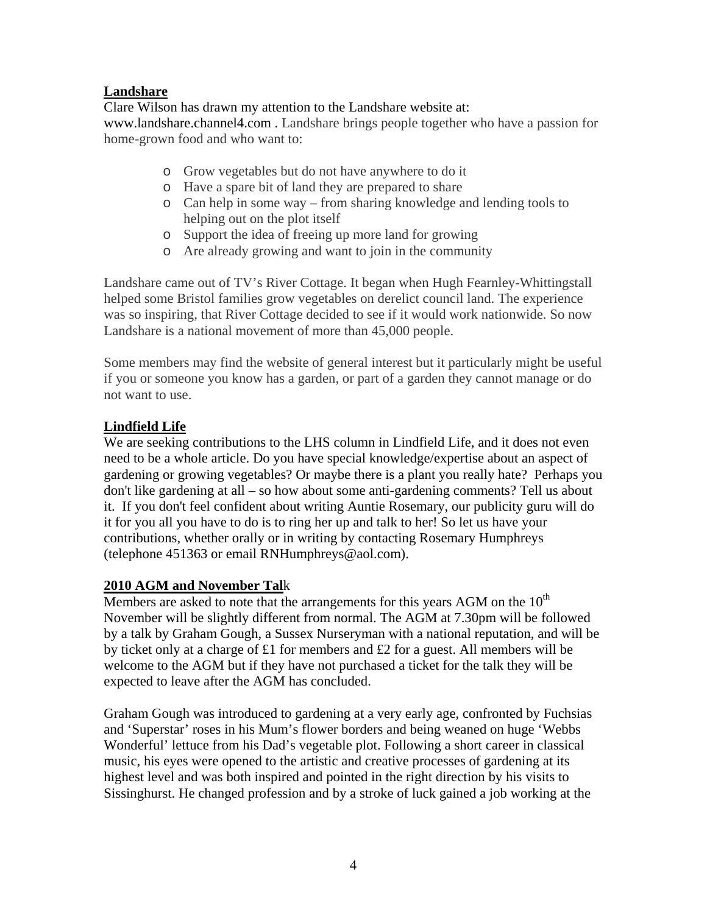## **Landshare**

Clare Wilson has drawn my attention to the Landshare website at: [www.landshare.channel4.com](http://www.landshare.channel4.com/) . Landshare brings people together who have a passion for home-grown food and who want to:

- o Grow vegetables but do not have anywhere to do it
- o Have a spare bit of land they are prepared to share
- o Can help in some way from sharing knowledge and lending tools to helping out on the plot itself
- o Support the idea of freeing up more land for growing
- o Are already growing and want to join in the community

Landshare came out of TV's River Cottage. It began when Hugh Fearnley-Whittingstall helped some Bristol families grow vegetables on derelict council land. The experience was so inspiring, that River Cottage decided to see if it would work nationwide. So now Landshare is a national movement of more than 45,000 people.

Some members may find the website of general interest but it particularly might be useful if you or someone you know has a garden, or part of a garden they cannot manage or do not want to use.

## **Lindfield Life**

We are seeking contributions to the LHS column in Lindfield Life, and it does not even need to be a whole article. Do you have special knowledge/expertise about an aspect of gardening or growing vegetables? Or maybe there is a plant you really hate? Perhaps you don't like gardening at all – so how about some anti-gardening comments? Tell us about it. If you don't feel confident about writing Auntie Rosemary, our publicity guru will do it for you all you have to do is to ring her up and talk to her! So let us have your contributions, whether orally or in writing by contacting Rosemary Humphreys (telephone 451363 or email [RNHumphreys@aol.com](mailto:RNHumphreys@aol.com)).

### **2010 AGM and November Tal**k

Members are asked to note that the arrangements for this years AGM on the  $10<sup>th</sup>$ November will be slightly different from normal. The AGM at 7.30pm will be followed by a talk by Graham Gough, a Sussex Nurseryman with a national reputation, and will be by ticket only at a charge of £1 for members and £2 for a guest. All members will be welcome to the AGM but if they have not purchased a ticket for the talk they will be expected to leave after the AGM has concluded.

Graham Gough was introduced to gardening at a very early age, confronted by Fuchsias and 'Superstar' roses in his Mum's flower borders and being weaned on huge 'Webbs Wonderful' lettuce from his Dad's vegetable plot. Following a short career in classical music, his eyes were opened to the artistic and creative processes of gardening at its highest level and was both inspired and pointed in the right direction by his visits to Sissinghurst. He changed profession and by a stroke of luck gained a job working at the